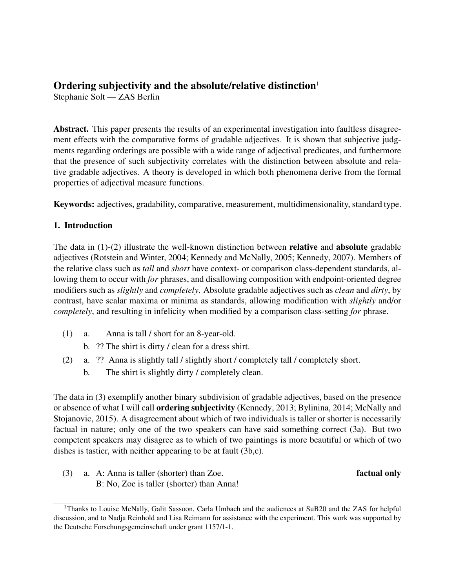# Ordering subjectivity and the absolute/relative distinction $<sup>1</sup>$ </sup>

Stephanie Solt — ZAS Berlin

Abstract. This paper presents the results of an experimental investigation into faultless disagreement effects with the comparative forms of gradable adjectives. It is shown that subjective judgments regarding orderings are possible with a wide range of adjectival predicates, and furthermore that the presence of such subjectivity correlates with the distinction between absolute and relative gradable adjectives. A theory is developed in which both phenomena derive from the formal properties of adjectival measure functions.

Keywords: adjectives, gradability, comparative, measurement, multidimensionality, standard type.

## 1. Introduction

The data in  $(1)-(2)$  illustrate the well-known distinction between **relative** and **absolute** gradable adjectives (Rotstein and Winter, 2004; Kennedy and McNally, 2005; Kennedy, 2007). Members of the relative class such as *tall* and *short* have context- or comparison class-dependent standards, allowing them to occur with *for* phrases, and disallowing composition with endpoint-oriented degree modifiers such as *slightly* and *completely*. Absolute gradable adjectives such as *clean* and *dirty*, by contrast, have scalar maxima or minima as standards, allowing modification with *slightly* and/or *completely*, and resulting in infelicity when modified by a comparison class-setting *for* phrase.

- (1) a. Anna is tall / short for an 8-year-old.
	- b. ?? The shirt is dirty / clean for a dress shirt.
- (2) a. ?? Anna is slightly tall / slightly short / completely tall / completely short.
	- b. The shirt is slightly dirty / completely clean.

The data in (3) exemplify another binary subdivision of gradable adjectives, based on the presence or absence of what I will call ordering subjectivity (Kennedy, 2013; Bylinina, 2014; McNally and Stojanovic, 2015). A disagreement about which of two individuals is taller or shorter is necessarily factual in nature; only one of the two speakers can have said something correct (3a). But two competent speakers may disagree as to which of two paintings is more beautiful or which of two dishes is tastier, with neither appearing to be at fault (3b,c).

(3) a. A: Anna is taller (shorter) than Zoe. **factual only** B: No, Zoe is taller (shorter) than Anna!

<sup>&</sup>lt;sup>1</sup>Thanks to Louise McNally, Galit Sassoon, Carla Umbach and the audiences at SuB20 and the ZAS for helpful discussion, and to Nadja Reinhold and Lisa Reimann for assistance with the experiment. This work was supported by the Deutsche Forschungsgemeinschaft under grant 1157/1-1.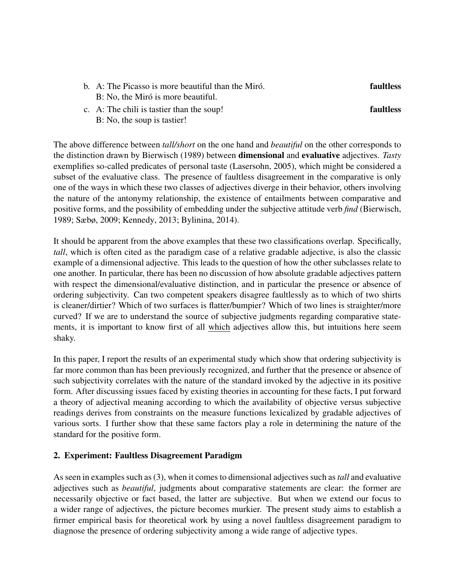- b. A: The Picasso is more beautiful than the Miró.  $\blacksquare$  faultless B: No, the Miró is more beautiful.
- c. A: The chili is tastier than the soup! **faultless** B: No, the soup is tastier!

The above difference between *tall/short* on the one hand and *beautiful* on the other corresponds to the distinction drawn by Bierwisch (1989) between dimensional and evaluative adjectives. *Tasty* exemplifies so-called predicates of personal taste (Lasersohn, 2005), which might be considered a subset of the evaluative class. The presence of faultless disagreement in the comparative is only one of the ways in which these two classes of adjectives diverge in their behavior, others involving the nature of the antonymy relationship, the existence of entailments between comparative and positive forms, and the possibility of embedding under the subjective attitude verb *find* (Bierwisch, 1989; Sæbø, 2009; Kennedy, 2013; Bylinina, 2014).

It should be apparent from the above examples that these two classifications overlap. Specifically, *tall*, which is often cited as the paradigm case of a relative gradable adjective, is also the classic example of a dimensional adjective. This leads to the question of how the other subclasses relate to one another. In particular, there has been no discussion of how absolute gradable adjectives pattern with respect the dimensional/evaluative distinction, and in particular the presence or absence of ordering subjectivity. Can two competent speakers disagree faultlessly as to which of two shirts is cleaner/dirtier? Which of two surfaces is flatter/bumpier? Which of two lines is straighter/more curved? If we are to understand the source of subjective judgments regarding comparative statements, it is important to know first of all which adjectives allow this, but intuitions here seem shaky.

In this paper, I report the results of an experimental study which show that ordering subjectivity is far more common than has been previously recognized, and further that the presence or absence of such subjectivity correlates with the nature of the standard invoked by the adjective in its positive form. After discussing issues faced by existing theories in accounting for these facts, I put forward a theory of adjectival meaning according to which the availability of objective versus subjective readings derives from constraints on the measure functions lexicalized by gradable adjectives of various sorts. I further show that these same factors play a role in determining the nature of the standard for the positive form.

## 2. Experiment: Faultless Disagreement Paradigm

As seen in examples such as (3), when it comes to dimensional adjectives such as*tall* and evaluative adjectives such as *beautiful*, judgments about comparative statements are clear: the former are necessarily objective or fact based, the latter are subjective. But when we extend our focus to a wider range of adjectives, the picture becomes murkier. The present study aims to establish a firmer empirical basis for theoretical work by using a novel faultless disagreement paradigm to diagnose the presence of ordering subjectivity among a wide range of adjective types.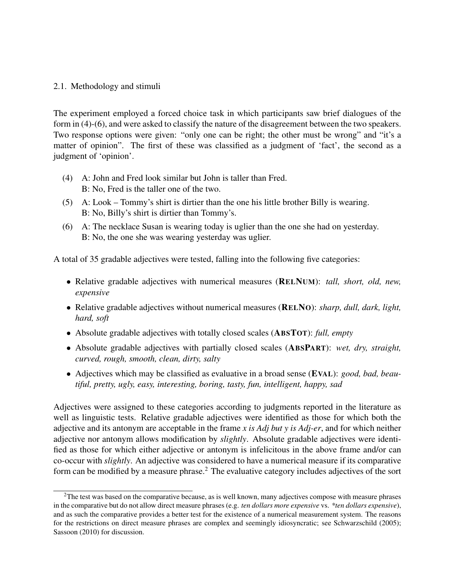## 2.1. Methodology and stimuli

The experiment employed a forced choice task in which participants saw brief dialogues of the form in (4)-(6), and were asked to classify the nature of the disagreement between the two speakers. Two response options were given: "only one can be right; the other must be wrong" and "it's a matter of opinion". The first of these was classified as a judgment of 'fact', the second as a judgment of 'opinion'.

- (4) A: John and Fred look similar but John is taller than Fred. B: No, Fred is the taller one of the two.
- (5) A: Look Tommy's shirt is dirtier than the one his little brother Billy is wearing. B: No, Billy's shirt is dirtier than Tommy's.
- (6) A: The necklace Susan is wearing today is uglier than the one she had on yesterday. B: No, the one she was wearing yesterday was uglier.

A total of 35 gradable adjectives were tested, falling into the following five categories:

- Relative gradable adjectives with numerical measures (RELNUM): *tall, short, old, new, expensive*
- Relative gradable adjectives without numerical measures (RELNO): *sharp, dull, dark, light, hard, soft*
- Absolute gradable adjectives with totally closed scales (ABSTOT): *full, empty*
- Absolute gradable adjectives with partially closed scales (ABSPART): *wet, dry, straight, curved, rough, smooth, clean, dirty, salty*
- Adjectives which may be classified as evaluative in a broad sense (EVAL): *good, bad, beautiful, pretty, ugly, easy, interesting, boring, tasty, fun, intelligent, happy, sad*

Adjectives were assigned to these categories according to judgments reported in the literature as well as linguistic tests. Relative gradable adjectives were identified as those for which both the adjective and its antonym are acceptable in the frame *x is Adj but y is Adj-er*, and for which neither adjective nor antonym allows modification by *slightly*. Absolute gradable adjectives were identified as those for which either adjective or antonym is infelicitous in the above frame and/or can co-occur with *slightly*. An adjective was considered to have a numerical measure if its comparative form can be modified by a measure phrase.<sup>2</sup> The evaluative category includes adjectives of the sort

<sup>&</sup>lt;sup>2</sup>The test was based on the comparative because, as is well known, many adjectives compose with measure phrases in the comparative but do not allow direct measure phrases (e.g. *ten dollars more expensive* vs. *\*ten dollars expensive*), and as such the comparative provides a better test for the existence of a numerical measurement system. The reasons for the restrictions on direct measure phrases are complex and seemingly idiosyncratic; see Schwarzschild (2005); Sassoon (2010) for discussion.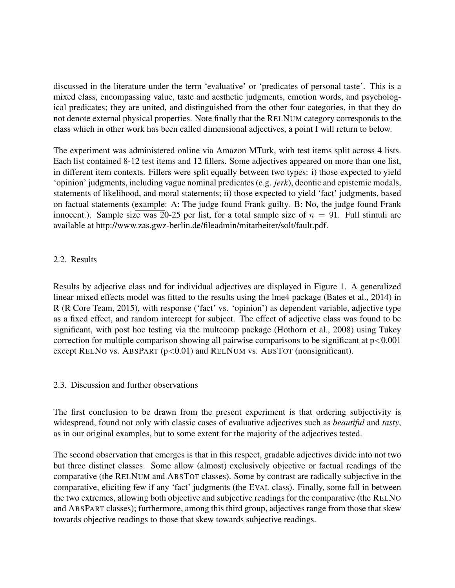discussed in the literature under the term 'evaluative' or 'predicates of personal taste'. This is a mixed class, encompassing value, taste and aesthetic judgments, emotion words, and psychological predicates; they are united, and distinguished from the other four categories, in that they do not denote external physical properties. Note finally that the RELNUM category corresponds to the class which in other work has been called dimensional adjectives, a point I will return to below.

The experiment was administered online via Amazon MTurk, with test items split across 4 lists. Each list contained 8-12 test items and 12 fillers. Some adjectives appeared on more than one list, in different item contexts. Fillers were split equally between two types: i) those expected to yield 'opinion' judgments, including vague nominal predicates (e.g. *jerk*), deontic and epistemic modals, statements of likelihood, and moral statements; ii) those expected to yield 'fact' judgments, based on factual statements (example: A: The judge found Frank guilty. B: No, the judge found Frank innocent.). Sample size was 20-25 per list, for a total sample size of  $n = 91$ . Full stimuli are available at http://www.zas.gwz-berlin.de/fileadmin/mitarbeiter/solt/fault.pdf.

# 2.2. Results

Results by adjective class and for individual adjectives are displayed in Figure 1. A generalized linear mixed effects model was fitted to the results using the lme4 package (Bates et al., 2014) in R (R Core Team, 2015), with response ('fact' vs. 'opinion') as dependent variable, adjective type as a fixed effect, and random intercept for subject. The effect of adjective class was found to be significant, with post hoc testing via the multcomp package (Hothorn et al., 2008) using Tukey correction for multiple comparison showing all pairwise comparisons to be significant at  $p<0.001$ except RELNO vs. ABSPART  $(p<0.01)$  and RELNUM vs. ABSTOT (nonsignificant).

## 2.3. Discussion and further observations

The first conclusion to be drawn from the present experiment is that ordering subjectivity is widespread, found not only with classic cases of evaluative adjectives such as *beautiful* and *tasty*, as in our original examples, but to some extent for the majority of the adjectives tested.

The second observation that emerges is that in this respect, gradable adjectives divide into not two but three distinct classes. Some allow (almost) exclusively objective or factual readings of the comparative (the RELNUM and ABSTOT classes). Some by contrast are radically subjective in the comparative, eliciting few if any 'fact' judgments (the EVAL class). Finally, some fall in between the two extremes, allowing both objective and subjective readings for the comparative (the RELNO and ABSPART classes); furthermore, among this third group, adjectives range from those that skew towards objective readings to those that skew towards subjective readings.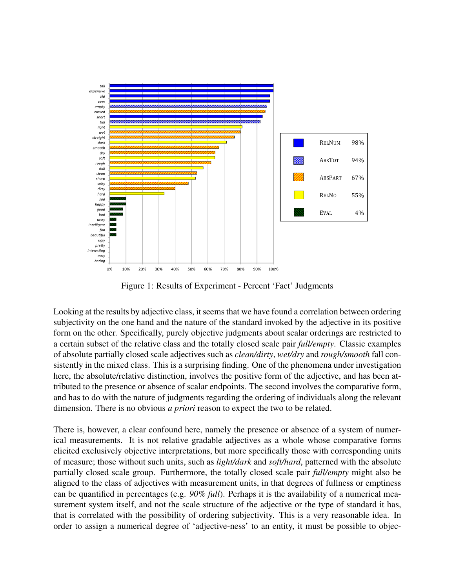

Figure 1: Results of Experiment - Percent 'Fact' Judgments

Looking at the results by adjective class, it seems that we have found a correlation between ordering subjectivity on the one hand and the nature of the standard invoked by the adjective in its positive form on the other. Specifically, purely objective judgments about scalar orderings are restricted to a certain subset of the relative class and the totally closed scale pair *full/empty*. Classic examples of absolute partially closed scale adjectives such as *clean/dirty*, *wet/dry* and *rough/smooth* fall consistently in the mixed class. This is a surprising finding. One of the phenomena under investigation here, the absolute/relative distinction, involves the positive form of the adjective, and has been attributed to the presence or absence of scalar endpoints. The second involves the comparative form, and has to do with the nature of judgments regarding the ordering of individuals along the relevant dimension. There is no obvious *a priori* reason to expect the two to be related.

There is, however, a clear confound here, namely the presence or absence of a system of numerical measurements. It is not relative gradable adjectives as a whole whose comparative forms elicited exclusively objective interpretations, but more specifically those with corresponding units of measure; those without such units, such as *light/dark* and *soft/hard*, patterned with the absolute partially closed scale group. Furthermore, the totally closed scale pair *full/empty* might also be aligned to the class of adjectives with measurement units, in that degrees of fullness or emptiness can be quantified in percentages (e.g. *90% full*). Perhaps it is the availability of a numerical measurement system itself, and not the scale structure of the adjective or the type of standard it has, that is correlated with the possibility of ordering subjectivity. This is a very reasonable idea. In order to assign a numerical degree of 'adjective-ness' to an entity, it must be possible to objec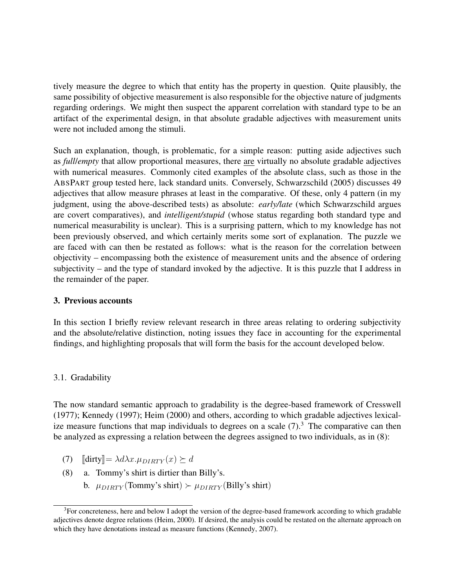tively measure the degree to which that entity has the property in question. Quite plausibly, the same possibility of objective measurement is also responsible for the objective nature of judgments regarding orderings. We might then suspect the apparent correlation with standard type to be an artifact of the experimental design, in that absolute gradable adjectives with measurement units were not included among the stimuli.

Such an explanation, though, is problematic, for a simple reason: putting aside adjectives such as *full*/*empty* that allow proportional measures, there are virtually no absolute gradable adjectives with numerical measures. Commonly cited examples of the absolute class, such as those in the ABSPART group tested here, lack standard units. Conversely, Schwarzschild (2005) discusses 49 adjectives that allow measure phrases at least in the comparative. Of these, only 4 pattern (in my judgment, using the above-described tests) as absolute: *early/late* (which Schwarzschild argues are covert comparatives), and *intelligent/stupid* (whose status regarding both standard type and numerical measurability is unclear). This is a surprising pattern, which to my knowledge has not been previously observed, and which certainly merits some sort of explanation. The puzzle we are faced with can then be restated as follows: what is the reason for the correlation between objectivity – encompassing both the existence of measurement units and the absence of ordering subjectivity – and the type of standard invoked by the adjective. It is this puzzle that I address in the remainder of the paper.

## 3. Previous accounts

In this section I briefly review relevant research in three areas relating to ordering subjectivity and the absolute/relative distinction, noting issues they face in accounting for the experimental findings, and highlighting proposals that will form the basis for the account developed below.

# 3.1. Gradability

The now standard semantic approach to gradability is the degree-based framework of Cresswell (1977); Kennedy (1997); Heim (2000) and others, according to which gradable adjectives lexicalize measure functions that map individuals to degrees on a scale  $(7)$ .<sup>3</sup> The comparative can then be analyzed as expressing a relation between the degrees assigned to two individuals, as in (8):

- (7)  $\left[\text{dirty}\right] = \lambda d\lambda x.\mu_{DIRTY}(x) \succeq d$ <br>(8) a. Tommy's shirt is dirtier than
- a. Tommy's shirt is dirtier than Billy's.
	- b.  $\mu_{DIRTY}$  (Tommy's shirt)  $\succ \mu_{DIRTY}$  (Billy's shirt)

 $3$ For concreteness, here and below I adopt the version of the degree-based framework according to which gradable adjectives denote degree relations (Heim, 2000). If desired, the analysis could be restated on the alternate approach on which they have denotations instead as measure functions (Kennedy, 2007).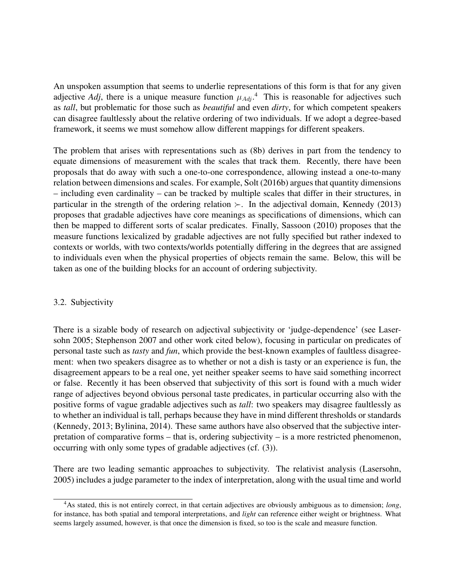An unspoken assumption that seems to underlie representations of this form is that for any given adjective *Adj*, there is a unique measure function  $\mu_{Adj}$ .<sup>4</sup> This is reasonable for adjectives such as *tall*, but problematic for those such as *beautiful* and even *dirty*, for which competent speakers can disagree faultlessly about the relative ordering of two individuals. If we adopt a degree-based framework, it seems we must somehow allow different mappings for different speakers.

The problem that arises with representations such as (8b) derives in part from the tendency to equate dimensions of measurement with the scales that track them. Recently, there have been proposals that do away with such a one-to-one correspondence, allowing instead a one-to-many relation between dimensions and scales. For example, Solt (2016b) argues that quantity dimensions – including even cardinality – can be tracked by multiple scales that differ in their structures, in particular in the strength of the ordering relation  $\angle$ . In the adjectival domain, Kennedy (2013) proposes that gradable adjectives have core meanings as specifications of dimensions, which can then be mapped to different sorts of scalar predicates. Finally, Sassoon (2010) proposes that the measure functions lexicalized by gradable adjectives are not fully specified but rather indexed to contexts or worlds, with two contexts/worlds potentially differing in the degrees that are assigned to individuals even when the physical properties of objects remain the same. Below, this will be taken as one of the building blocks for an account of ordering subjectivity.

## 3.2. Subjectivity

There is a sizable body of research on adjectival subjectivity or 'judge-dependence' (see Lasersohn 2005; Stephenson 2007 and other work cited below), focusing in particular on predicates of personal taste such as *tasty* and *fun*, which provide the best-known examples of faultless disagreement: when two speakers disagree as to whether or not a dish is tasty or an experience is fun, the disagreement appears to be a real one, yet neither speaker seems to have said something incorrect or false. Recently it has been observed that subjectivity of this sort is found with a much wider range of adjectives beyond obvious personal taste predicates, in particular occurring also with the positive forms of vague gradable adjectives such as *tall*: two speakers may disagree faultlessly as to whether an individual is tall, perhaps because they have in mind different thresholds or standards (Kennedy, 2013; Bylinina, 2014). These same authors have also observed that the subjective interpretation of comparative forms – that is, ordering subjectivity – is a more restricted phenomenon, occurring with only some types of gradable adjectives (cf. (3)).

There are two leading semantic approaches to subjectivity. The relativist analysis (Lasersohn, 2005) includes a judge parameter to the index of interpretation, along with the usual time and world

<sup>4</sup>As stated, this is not entirely correct, in that certain adjectives are obviously ambiguous as to dimension; *long*, for instance, has both spatial and temporal interpretations, and *light* can reference either weight or brightness. What seems largely assumed, however, is that once the dimension is fixed, so too is the scale and measure function.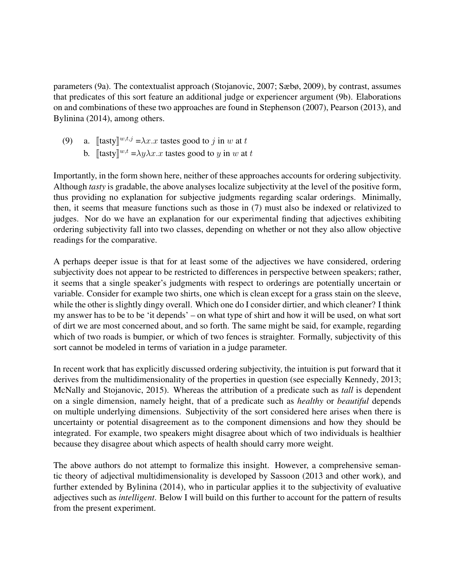parameters (9a). The contextualist approach (Stojanovic, 2007; Sæbø, 2009), by contrast, assumes that predicates of this sort feature an additional judge or experiencer argument (9b). Elaborations on and combinations of these two approaches are found in Stephenson (2007), Pearson (2013), and Bylinina (2014), among others.

(9) a.  $[\text{task}]^{w,t,j} = \lambda x.x$  tastes good to j in w at t b.  $[\text{task}]^{w,t} = \lambda y \lambda x.x$  tastes good to y in w at t

Importantly, in the form shown here, neither of these approaches accounts for ordering subjectivity. Although *tasty* is gradable, the above analyses localize subjectivity at the level of the positive form, thus providing no explanation for subjective judgments regarding scalar orderings. Minimally, then, it seems that measure functions such as those in (7) must also be indexed or relativized to judges. Nor do we have an explanation for our experimental finding that adjectives exhibiting ordering subjectivity fall into two classes, depending on whether or not they also allow objective readings for the comparative.

A perhaps deeper issue is that for at least some of the adjectives we have considered, ordering subjectivity does not appear to be restricted to differences in perspective between speakers; rather, it seems that a single speaker's judgments with respect to orderings are potentially uncertain or variable. Consider for example two shirts, one which is clean except for a grass stain on the sleeve, while the other is slightly dingy overall. Which one do I consider dirtier, and which cleaner? I think my answer has to be to be 'it depends' – on what type of shirt and how it will be used, on what sort of dirt we are most concerned about, and so forth. The same might be said, for example, regarding which of two roads is bumpier, or which of two fences is straighter. Formally, subjectivity of this sort cannot be modeled in terms of variation in a judge parameter.

In recent work that has explicitly discussed ordering subjectivity, the intuition is put forward that it derives from the multidimensionality of the properties in question (see especially Kennedy, 2013; McNally and Stojanovic, 2015). Whereas the attribution of a predicate such as *tall* is dependent on a single dimension, namely height, that of a predicate such as *healthy* or *beautiful* depends on multiple underlying dimensions. Subjectivity of the sort considered here arises when there is uncertainty or potential disagreement as to the component dimensions and how they should be integrated. For example, two speakers might disagree about which of two individuals is healthier because they disagree about which aspects of health should carry more weight.

The above authors do not attempt to formalize this insight. However, a comprehensive semantic theory of adjectival multidimensionality is developed by Sassoon (2013 and other work), and further extended by Bylinina (2014), who in particular applies it to the subjectivity of evaluative adjectives such as *intelligent*. Below I will build on this further to account for the pattern of results from the present experiment.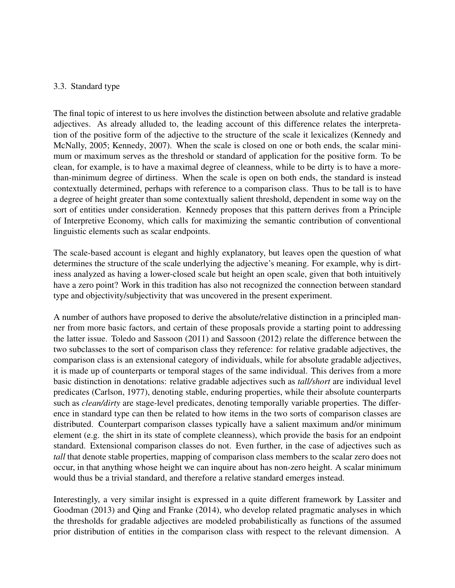## 3.3. Standard type

The final topic of interest to us here involves the distinction between absolute and relative gradable adjectives. As already alluded to, the leading account of this difference relates the interpretation of the positive form of the adjective to the structure of the scale it lexicalizes (Kennedy and McNally, 2005; Kennedy, 2007). When the scale is closed on one or both ends, the scalar minimum or maximum serves as the threshold or standard of application for the positive form. To be clean, for example, is to have a maximal degree of cleanness, while to be dirty is to have a morethan-minimum degree of dirtiness. When the scale is open on both ends, the standard is instead contextually determined, perhaps with reference to a comparison class. Thus to be tall is to have a degree of height greater than some contextually salient threshold, dependent in some way on the sort of entities under consideration. Kennedy proposes that this pattern derives from a Principle of Interpretive Economy, which calls for maximizing the semantic contribution of conventional linguistic elements such as scalar endpoints.

The scale-based account is elegant and highly explanatory, but leaves open the question of what determines the structure of the scale underlying the adjective's meaning. For example, why is dirtiness analyzed as having a lower-closed scale but height an open scale, given that both intuitively have a zero point? Work in this tradition has also not recognized the connection between standard type and objectivity/subjectivity that was uncovered in the present experiment.

A number of authors have proposed to derive the absolute/relative distinction in a principled manner from more basic factors, and certain of these proposals provide a starting point to addressing the latter issue. Toledo and Sassoon (2011) and Sassoon (2012) relate the difference between the two subclasses to the sort of comparison class they reference: for relative gradable adjectives, the comparison class is an extensional category of individuals, while for absolute gradable adjectives, it is made up of counterparts or temporal stages of the same individual. This derives from a more basic distinction in denotations: relative gradable adjectives such as *tall/short* are individual level predicates (Carlson, 1977), denoting stable, enduring properties, while their absolute counterparts such as *clean/dirty* are stage-level predicates, denoting temporally variable properties. The difference in standard type can then be related to how items in the two sorts of comparison classes are distributed. Counterpart comparison classes typically have a salient maximum and/or minimum element (e.g. the shirt in its state of complete cleanness), which provide the basis for an endpoint standard. Extensional comparison classes do not. Even further, in the case of adjectives such as *tall* that denote stable properties, mapping of comparison class members to the scalar zero does not occur, in that anything whose height we can inquire about has non-zero height. A scalar minimum would thus be a trivial standard, and therefore a relative standard emerges instead.

Interestingly, a very similar insight is expressed in a quite different framework by Lassiter and Goodman (2013) and Qing and Franke (2014), who develop related pragmatic analyses in which the thresholds for gradable adjectives are modeled probabilistically as functions of the assumed prior distribution of entities in the comparison class with respect to the relevant dimension. A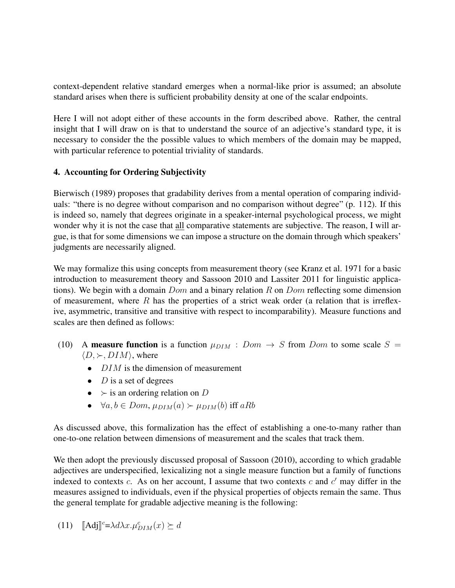context-dependent relative standard emerges when a normal-like prior is assumed; an absolute standard arises when there is sufficient probability density at one of the scalar endpoints.

Here I will not adopt either of these accounts in the form described above. Rather, the central insight that I will draw on is that to understand the source of an adjective's standard type, it is necessary to consider the the possible values to which members of the domain may be mapped, with particular reference to potential triviality of standards.

# 4. Accounting for Ordering Subjectivity

Bierwisch (1989) proposes that gradability derives from a mental operation of comparing individuals: "there is no degree without comparison and no comparison without degree" (p. 112). If this is indeed so, namely that degrees originate in a speaker-internal psychological process, we might wonder why it is not the case that all comparative statements are subjective. The reason, I will argue, is that for some dimensions we can impose a structure on the domain through which speakers' judgments are necessarily aligned.

We may formalize this using concepts from measurement theory (see Kranz et al. 1971 for a basic introduction to measurement theory and Sassoon 2010 and Lassiter 2011 for linguistic applications). We begin with a domain  $Dom$  and a binary relation R on  $Dom$  reflecting some dimension of measurement, where  $R$  has the properties of a strict weak order (a relation that is irreflexive, asymmetric, transitive and transitive with respect to incomparability). Measure functions and scales are then defined as follows:

- (10) A measure function is a function  $\mu_{DIM}$  :  $Dom \rightarrow S$  from Dom to some scale  $S =$  $\langle D, \succ, DIM \rangle$ , where
	- $DIM$  is the dimension of measurement
	- $D$  is a set of degrees
	- $\succ$  is an ordering relation on D
	- $\forall a, b \in Dom$ ,  $\mu_{DIM}(a) \succ \mu_{DIM}(b)$  iff aRb

As discussed above, this formalization has the effect of establishing a one-to-many rather than one-to-one relation between dimensions of measurement and the scales that track them.

We then adopt the previously discussed proposal of Sassoon (2010), according to which gradable adjectives are underspecified, lexicalizing not a single measure function but a family of functions indexed to contexts c. As on her account, I assume that two contexts c and  $c'$  may differ in the measures assigned to individuals, even if the physical properties of objects remain the same. Thus the general template for gradable adjective meaning is the following:

(11) 
$$
[\mathbf{Adj}]^c = \lambda d\lambda x. \mu_{DIM}^c(x) \succeq d
$$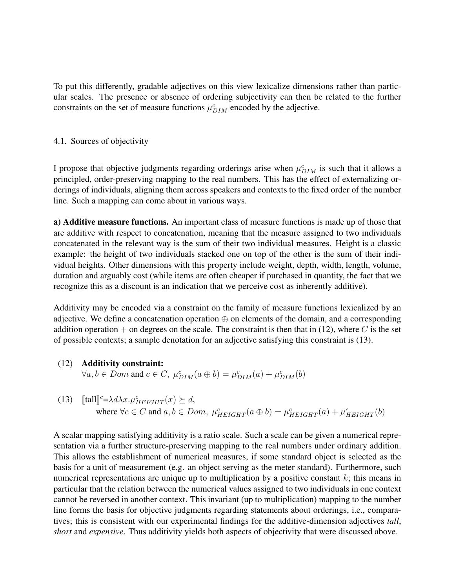To put this differently, gradable adjectives on this view lexicalize dimensions rather than particular scales. The presence or absence of ordering subjectivity can then be related to the further constraints on the set of measure functions  $\mu_{DIM}^c$  encoded by the adjective.

#### 4.1. Sources of objectivity

I propose that objective judgments regarding orderings arise when  $\mu_{DIM}^c$  is such that it allows a principled, order-preserving mapping to the real numbers. This has the effect of externalizing orderings of individuals, aligning them across speakers and contexts to the fixed order of the number line. Such a mapping can come about in various ways.

a) Additive measure functions. An important class of measure functions is made up of those that are additive with respect to concatenation, meaning that the measure assigned to two individuals concatenated in the relevant way is the sum of their two individual measures. Height is a classic example: the height of two individuals stacked one on top of the other is the sum of their individual heights. Other dimensions with this property include weight, depth, width, length, volume, duration and arguably cost (while items are often cheaper if purchased in quantity, the fact that we recognize this as a discount is an indication that we perceive cost as inherently additive).

Additivity may be encoded via a constraint on the family of measure functions lexicalized by an adjective. We define a concatenation operation  $\oplus$  on elements of the domain, and a corresponding addition operation + on degrees on the scale. The constraint is then that in  $(12)$ , where C is the set of possible contexts; a sample denotation for an adjective satisfying this constraint is (13).

# (12) Additivity constraint:

 $\forall a, b \in Dom \text{ and } c \in C, \ \mu_{DIM}^c(a \oplus b) = \mu_{DIM}^c(a) + \mu_{DIM}^c(b)$ 

(13)  $[\text{tall}]^c = \lambda d\lambda x. \mu_{HEIGHT}^c(x) \succeq d,$ where  $\forall c \in C$  and  $a, b \in Dom$ ,  $\mu_{HEIGHT}^c(a \oplus b) = \mu_{HEIGHT}^c(a) + \mu_{HEIGHT}^c(b)$ 

A scalar mapping satisfying additivity is a ratio scale. Such a scale can be given a numerical representation via a further structure-preserving mapping to the real numbers under ordinary addition. This allows the establishment of numerical measures, if some standard object is selected as the basis for a unit of measurement (e.g. an object serving as the meter standard). Furthermore, such numerical representations are unique up to multiplication by a positive constant  $k$ ; this means in particular that the relation between the numerical values assigned to two individuals in one context cannot be reversed in another context. This invariant (up to multiplication) mapping to the number line forms the basis for objective judgments regarding statements about orderings, i.e., comparatives; this is consistent with our experimental findings for the additive-dimension adjectives *tall*, *short* and *expensive*. Thus additivity yields both aspects of objectivity that were discussed above.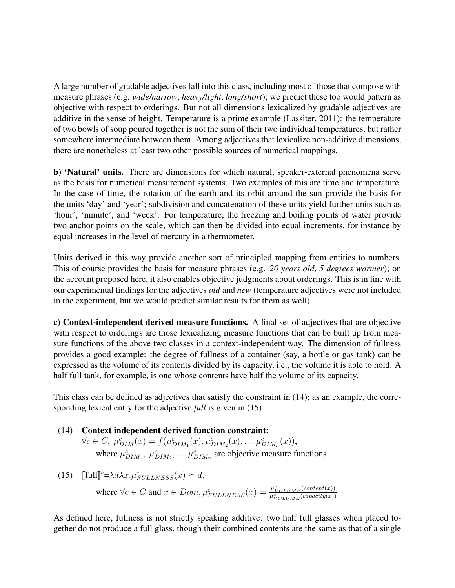A large number of gradable adjectives fall into this class, including most of those that compose with measure phrases (e.g. *wide/narrow*, *heavy/light*, *long/short*); we predict these too would pattern as objective with respect to orderings. But not all dimensions lexicalized by gradable adjectives are additive in the sense of height. Temperature is a prime example (Lassiter, 2011): the temperature of two bowls of soup poured together is not the sum of their two individual temperatures, but rather somewhere intermediate between them. Among adjectives that lexicalize non-additive dimensions, there are nonetheless at least two other possible sources of numerical mappings.

b) 'Natural' units. There are dimensions for which natural, speaker-external phenomena serve as the basis for numerical measurement systems. Two examples of this are time and temperature. In the case of time, the rotation of the earth and its orbit around the sun provide the basis for the units 'day' and 'year'; subdivision and concatenation of these units yield further units such as 'hour', 'minute', and 'week'. For temperature, the freezing and boiling points of water provide two anchor points on the scale, which can then be divided into equal increments, for instance by equal increases in the level of mercury in a thermometer.

Units derived in this way provide another sort of principled mapping from entities to numbers. This of course provides the basis for measure phrases (e.g. *20 years old*, *5 degrees warmer*); on the account proposed here, it also enables objective judgments about orderings. This is in line with our experimental findings for the adjectives *old* and *new* (temperature adjectives were not included in the experiment, but we would predict similar results for them as well).

c) Context-independent derived measure functions. A final set of adjectives that are objective with respect to orderings are those lexicalizing measure functions that can be built up from measure functions of the above two classes in a context-independent way. The dimension of fullness provides a good example: the degree of fullness of a container (say, a bottle or gas tank) can be expressed as the volume of its contents divided by its capacity, i.e., the volume it is able to hold. A half full tank, for example, is one whose contents have half the volume of its capacity.

This class can be defined as adjectives that satisfy the constraint in (14); as an example, the corresponding lexical entry for the adjective *full* is given in (15):

(14) Context independent derived function constraint:  $\forall c \in C, \ \mu_{DIM}^c(x) = f(\mu_{DIM_1}^c(x), \mu_{DIM_2}^c(x), \dots, \mu_{DIM_n}^c(x)),$ 

where  $\mu_{DIM_1}^c$ ,  $\mu_{DIM_2}^c$ , ...  $\mu_{DIM_n}^c$  are objective measure functions

(15)  $[\text{full}]^c = \lambda d\lambda x. \mu_{FULINESS}^c(x) \succeq d,$ 

where  $\forall c \in C$  and  $x \in Dom, \mu_{FULLNESS}^c(x) = \frac{\mu_{VOLUME}^c(content(x))}{\mu_{VOLUME}^c(capacity(x))}$  $\overline{\mu^c_{VOLUME}(capacity(x))}$ 

As defined here, fullness is not strictly speaking additive: two half full glasses when placed together do not produce a full glass, though their combined contents are the same as that of a single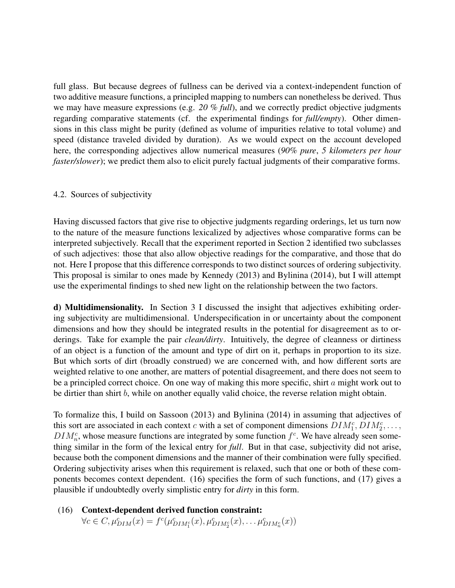full glass. But because degrees of fullness can be derived via a context-independent function of two additive measure functions, a principled mapping to numbers can nonetheless be derived. Thus we may have measure expressions (e.g. *20 % full*), and we correctly predict objective judgments regarding comparative statements (cf. the experimental findings for *full/empty*). Other dimensions in this class might be purity (defined as volume of impurities relative to total volume) and speed (distance traveled divided by duration). As we would expect on the account developed here, the corresponding adjectives allow numerical measures (*90% pure*, *5 kilometers per hour faster/slower*); we predict them also to elicit purely factual judgments of their comparative forms.

#### 4.2. Sources of subjectivity

Having discussed factors that give rise to objective judgments regarding orderings, let us turn now to the nature of the measure functions lexicalized by adjectives whose comparative forms can be interpreted subjectively. Recall that the experiment reported in Section 2 identified two subclasses of such adjectives: those that also allow objective readings for the comparative, and those that do not. Here I propose that this difference corresponds to two distinct sources of ordering subjectivity. This proposal is similar to ones made by Kennedy (2013) and Bylinina (2014), but I will attempt use the experimental findings to shed new light on the relationship between the two factors.

d) Multidimensionality. In Section 3 I discussed the insight that adjectives exhibiting ordering subjectivity are multidimensional. Underspecification in or uncertainty about the component dimensions and how they should be integrated results in the potential for disagreement as to orderings. Take for example the pair *clean/dirty*. Intuitively, the degree of cleanness or dirtiness of an object is a function of the amount and type of dirt on it, perhaps in proportion to its size. But which sorts of dirt (broadly construed) we are concerned with, and how different sorts are weighted relative to one another, are matters of potential disagreement, and there does not seem to be a principled correct choice. On one way of making this more specific, shirt a might work out to be dirtier than shirt b, while on another equally valid choice, the reverse relation might obtain.

To formalize this, I build on Sassoon (2013) and Bylinina (2014) in assuming that adjectives of this sort are associated in each context c with a set of component dimensions  $DIM_1^c, DIM_2^c, \ldots$ ,  $DIM_n^c$ , whose measure functions are integrated by some function  $f^c$ . We have already seen something similar in the form of the lexical entry for *full*. But in that case, subjectivity did not arise, because both the component dimensions and the manner of their combination were fully specified. Ordering subjectivity arises when this requirement is relaxed, such that one or both of these components becomes context dependent. (16) specifies the form of such functions, and (17) gives a plausible if undoubtedly overly simplistic entry for *dirty* in this form.

(16) Context-dependent derived function constraint:  $\forall c \in C, \mu_{DIM}^c(x) = f^c(\mu_{DIM_1^c}^c(x), \mu_{DIM_2^c}^c(x), \dots \mu_{DIM_n^c}^c(x))$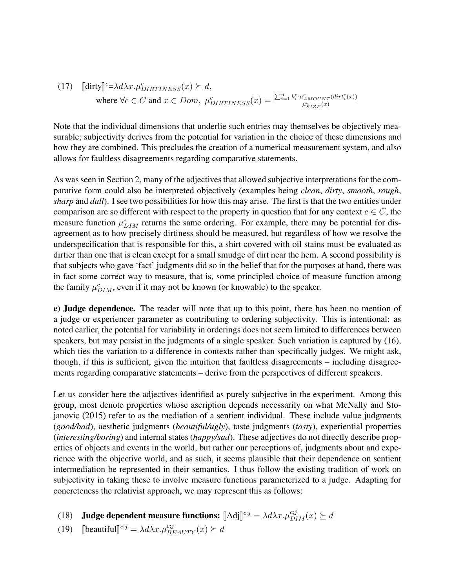(17) 
$$
\begin{aligned} \n\text{(17)} \quad & \text{[dirty]^{c} = \lambda d\lambda x. \mu_{DIRTINESS}^{c}(x) \succeq d, \\ \n\text{where } \forall c \in C \text{ and } x \in Dom, \ \mu_{DIRTINESS}^{c}(x) = \frac{\sum_{i=1}^{n} k_i^c \cdot \mu_{AMOUNT}^{c}(dirt_i^c(x))}{\mu_{SIZE}^{c}(x)} \n\end{aligned}
$$

Note that the individual dimensions that underlie such entries may themselves be objectively measurable; subjectivity derives from the potential for variation in the choice of these dimensions and how they are combined. This precludes the creation of a numerical measurement system, and also allows for faultless disagreements regarding comparative statements.

As was seen in Section 2, many of the adjectives that allowed subjective interpretations for the comparative form could also be interpreted objectively (examples being *clean*, *dirty*, *smooth*, *rough*, *sharp* and *dull*). I see two possibilities for how this may arise. The first is that the two entities under comparison are so different with respect to the property in question that for any context  $c \in C$ , the measure function  $\mu_{DIM}^c$  returns the same ordering. For example, there may be potential for disagreement as to how precisely dirtiness should be measured, but regardless of how we resolve the underspecification that is responsible for this, a shirt covered with oil stains must be evaluated as dirtier than one that is clean except for a small smudge of dirt near the hem. A second possibility is that subjects who gave 'fact' judgments did so in the belief that for the purposes at hand, there was in fact some correct way to measure, that is, some principled choice of measure function among the family  $\mu_{DIM}^c$ , even if it may not be known (or knowable) to the speaker.

e) Judge dependence. The reader will note that up to this point, there has been no mention of a judge or experiencer parameter as contributing to ordering subjectivity. This is intentional: as noted earlier, the potential for variability in orderings does not seem limited to differences between speakers, but may persist in the judgments of a single speaker. Such variation is captured by (16), which ties the variation to a difference in contexts rather than specifically judges. We might ask, though, if this is sufficient, given the intuition that faultless disagreements – including disagreements regarding comparative statements – derive from the perspectives of different speakers.

Let us consider here the adjectives identified as purely subjective in the experiment. Among this group, most denote properties whose ascription depends necessarily on what McNally and Stojanovic (2015) refer to as the mediation of a sentient individual. These include value judgments (*good/bad*), aesthetic judgments (*beautiful/ugly*), taste judgments (*tasty*), experiential properties (*interesting/boring*) and internal states (*happy/sad*). These adjectives do not directly describe properties of objects and events in the world, but rather our perceptions of, judgments about and experience with the objective world, and as such, it seems plausible that their dependence on sentient intermediation be represented in their semantics. I thus follow the existing tradition of work on subjectivity in taking these to involve measure functions parameterized to a judge. Adapting for concreteness the relativist approach, we may represent this as follows:

(18) **Judge dependent measure functions:**  $[\text{Adj}]^{c;j} = \lambda d\lambda x.\mu_{DIM}^{c;j}(x) \succeq d$ 

(19) [beautiful]<sup>c;j</sup> =  $\lambda d\lambda x.\mu_{BEAUTY}^{c;j}(x) \succeq d$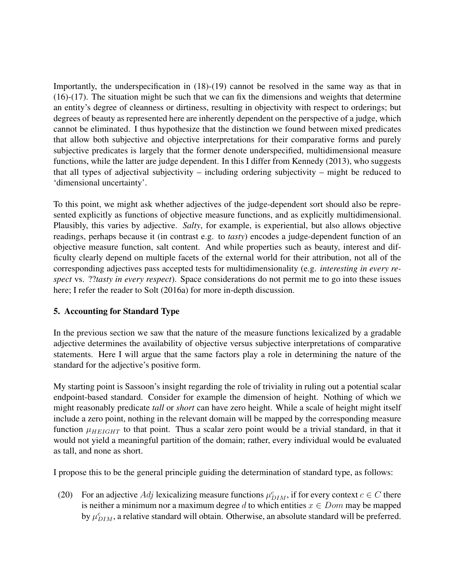Importantly, the underspecification in (18)-(19) cannot be resolved in the same way as that in (16)-(17). The situation might be such that we can fix the dimensions and weights that determine an entity's degree of cleanness or dirtiness, resulting in objectivity with respect to orderings; but degrees of beauty as represented here are inherently dependent on the perspective of a judge, which cannot be eliminated. I thus hypothesize that the distinction we found between mixed predicates that allow both subjective and objective interpretations for their comparative forms and purely subjective predicates is largely that the former denote underspecified, multidimensional measure functions, while the latter are judge dependent. In this I differ from Kennedy (2013), who suggests that all types of adjectival subjectivity – including ordering subjectivity – might be reduced to 'dimensional uncertainty'.

To this point, we might ask whether adjectives of the judge-dependent sort should also be represented explicitly as functions of objective measure functions, and as explicitly multidimensional. Plausibly, this varies by adjective. *Salty*, for example, is experiential, but also allows objective readings, perhaps because it (in contrast e.g. to *tasty*) encodes a judge-dependent function of an objective measure function, salt content. And while properties such as beauty, interest and difficulty clearly depend on multiple facets of the external world for their attribution, not all of the corresponding adjectives pass accepted tests for multidimensionality (e.g. *interesting in every respect* vs. ??*tasty in every respect*). Space considerations do not permit me to go into these issues here; I refer the reader to Solt (2016a) for more in-depth discussion.

# 5. Accounting for Standard Type

In the previous section we saw that the nature of the measure functions lexicalized by a gradable adjective determines the availability of objective versus subjective interpretations of comparative statements. Here I will argue that the same factors play a role in determining the nature of the standard for the adjective's positive form.

My starting point is Sassoon's insight regarding the role of triviality in ruling out a potential scalar endpoint-based standard. Consider for example the dimension of height. Nothing of which we might reasonably predicate *tall* or *short* can have zero height. While a scale of height might itself include a zero point, nothing in the relevant domain will be mapped by the corresponding measure function  $\mu_{HEIGHT}$  to that point. Thus a scalar zero point would be a trivial standard, in that it would not yield a meaningful partition of the domain; rather, every individual would be evaluated as tall, and none as short.

I propose this to be the general principle guiding the determination of standard type, as follows:

(20) For an adjective Adj lexicalizing measure functions  $\mu_{DIM}^c$ , if for every context  $c \in C$  there is neither a minimum nor a maximum degree d to which entities  $x \in Dom$  may be mapped by  $\mu_{DIM}^c$ , a relative standard will obtain. Otherwise, an absolute standard will be preferred.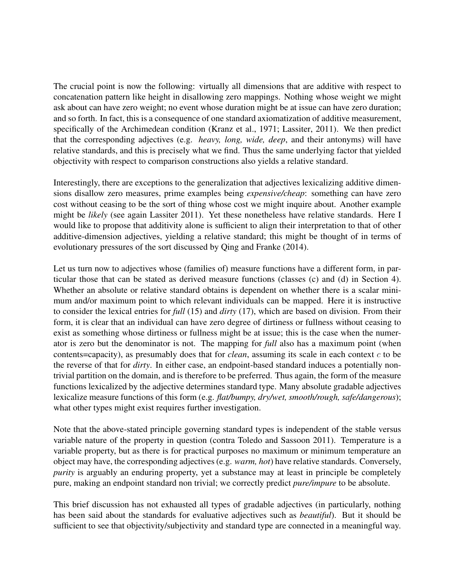The crucial point is now the following: virtually all dimensions that are additive with respect to concatenation pattern like height in disallowing zero mappings. Nothing whose weight we might ask about can have zero weight; no event whose duration might be at issue can have zero duration; and so forth. In fact, this is a consequence of one standard axiomatization of additive measurement, specifically of the Archimedean condition (Kranz et al., 1971; Lassiter, 2011). We then predict that the corresponding adjectives (e.g. *heavy, long, wide, deep*, and their antonyms) will have relative standards, and this is precisely what we find. Thus the same underlying factor that yielded objectivity with respect to comparison constructions also yields a relative standard.

Interestingly, there are exceptions to the generalization that adjectives lexicalizing additive dimensions disallow zero measures, prime examples being *expensive/cheap*: something can have zero cost without ceasing to be the sort of thing whose cost we might inquire about. Another example might be *likely* (see again Lassiter 2011). Yet these nonetheless have relative standards. Here I would like to propose that additivity alone is sufficient to align their interpretation to that of other additive-dimension adjectives, yielding a relative standard; this might be thought of in terms of evolutionary pressures of the sort discussed by Qing and Franke (2014).

Let us turn now to adjectives whose (families of) measure functions have a different form, in particular those that can be stated as derived measure functions (classes (c) and (d) in Section 4). Whether an absolute or relative standard obtains is dependent on whether there is a scalar minimum and/or maximum point to which relevant individuals can be mapped. Here it is instructive to consider the lexical entries for *full* (15) and *dirty* (17), which are based on division. From their form, it is clear that an individual can have zero degree of dirtiness or fullness without ceasing to exist as something whose dirtiness or fullness might be at issue; this is the case when the numerator is zero but the denominator is not. The mapping for *full* also has a maximum point (when contents=capacity), as presumably does that for *clean*, assuming its scale in each context  $c$  to be the reverse of that for *dirty*. In either case, an endpoint-based standard induces a potentially nontrivial partition on the domain, and is therefore to be preferred. Thus again, the form of the measure functions lexicalized by the adjective determines standard type. Many absolute gradable adjectives lexicalize measure functions of this form (e.g. *flat/bumpy, dry/wet, smooth/rough, safe/dangerous*); what other types might exist requires further investigation.

Note that the above-stated principle governing standard types is independent of the stable versus variable nature of the property in question (contra Toledo and Sassoon 2011). Temperature is a variable property, but as there is for practical purposes no maximum or minimum temperature an object may have, the corresponding adjectives (e.g. *warm, hot*) have relative standards. Conversely, *purity* is arguably an enduring property, yet a substance may at least in principle be completely pure, making an endpoint standard non trivial; we correctly predict *pure/impure* to be absolute.

This brief discussion has not exhausted all types of gradable adjectives (in particularly, nothing has been said about the standards for evaluative adjectives such as *beautiful*). But it should be sufficient to see that objectivity/subjectivity and standard type are connected in a meaningful way.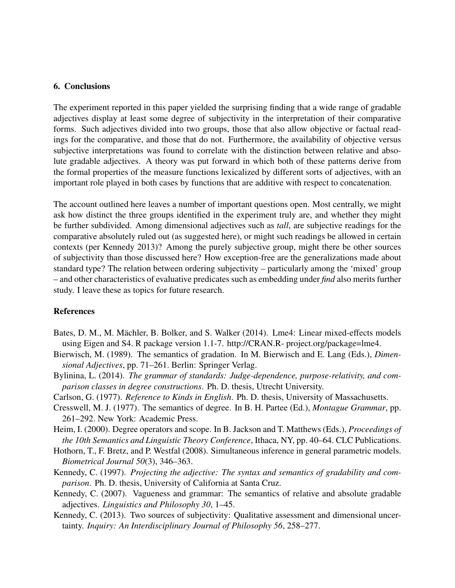#### 6. Conclusions

The experiment reported in this paper yielded the surprising finding that a wide range of gradable adjectives display at least some degree of subjectivity in the interpretation of their comparative forms. Such adjectives divided into two groups, those that also allow objective or factual readings for the comparative, and those that do not. Furthermore, the availability of objective versus subjective interpretations was found to correlate with the distinction between relative and absolute gradable adjectives. A theory was put forward in which both of these patterns derive from the formal properties of the measure functions lexicalized by different sorts of adjectives, with an important role played in both cases by functions that are additive with respect to concatenation.

The account outlined here leaves a number of important questions open. Most centrally, we might ask how distinct the three groups identified in the experiment truly are, and whether they might be further subdivided. Among dimensional adjectives such as *tall*, are subjective readings for the comparative absolutely ruled out (as suggested here), or might such readings be allowed in certain contexts (per Kennedy 2013)? Among the purely subjective group, might there be other sources of subjectivity than those discussed here? How exception-free are the generalizations made about standard type? The relation between ordering subjectivity – particularly among the 'mixed' group – and other characteristics of evaluative predicates such as embedding under *find* also merits further study. I leave these as topics for future research.

#### References

- Bates, D. M., M. Mächler, B. Bolker, and S. Walker (2014). Lme4: Linear mixed-effects models using Eigen and S4. R package version 1.1-7. http://CRAN.R- project.org/package=lme4.
- Bierwisch, M. (1989). The semantics of gradation. In M. Bierwisch and E. Lang (Eds.), *Dimensional Adjectives*, pp. 71–261. Berlin: Springer Verlag.
- Bylinina, L. (2014). *The grammar of standards: Judge-dependence, purpose-relativity, and comparison classes in degree constructions*. Ph. D. thesis, Utrecht University.
- Carlson, G. (1977). *Reference to Kinds in English*. Ph. D. thesis, University of Massachusetts.
- Cresswell, M. J. (1977). The semantics of degree. In B. H. Partee (Ed.), *Montague Grammar*, pp. 261–292. New York: Academic Press.
- Heim, I. (2000). Degree operators and scope. In B. Jackson and T. Matthews (Eds.), *Proceedings of the 10th Semantics and Linguistic Theory Conference*, Ithaca, NY, pp. 40–64. CLC Publications.
- Hothorn, T., F. Bretz, and P. Westfal (2008). Simultaneous inference in general parametric models. *Biometrical Journal 50*(3), 346–363.
- Kennedy, C. (1997). *Projecting the adjective: The syntax and semantics of gradability and comparison*. Ph. D. thesis, University of California at Santa Cruz.
- Kennedy, C. (2007). Vagueness and grammar: The semantics of relative and absolute gradable adjectives. *Linguistics and Philosophy 30*, 1–45.
- Kennedy, C. (2013). Two sources of subjectivity: Qualitative assessment and dimensional uncertainty. *Inquiry: An Interdisciplinary Journal of Philosophy 56*, 258–277.